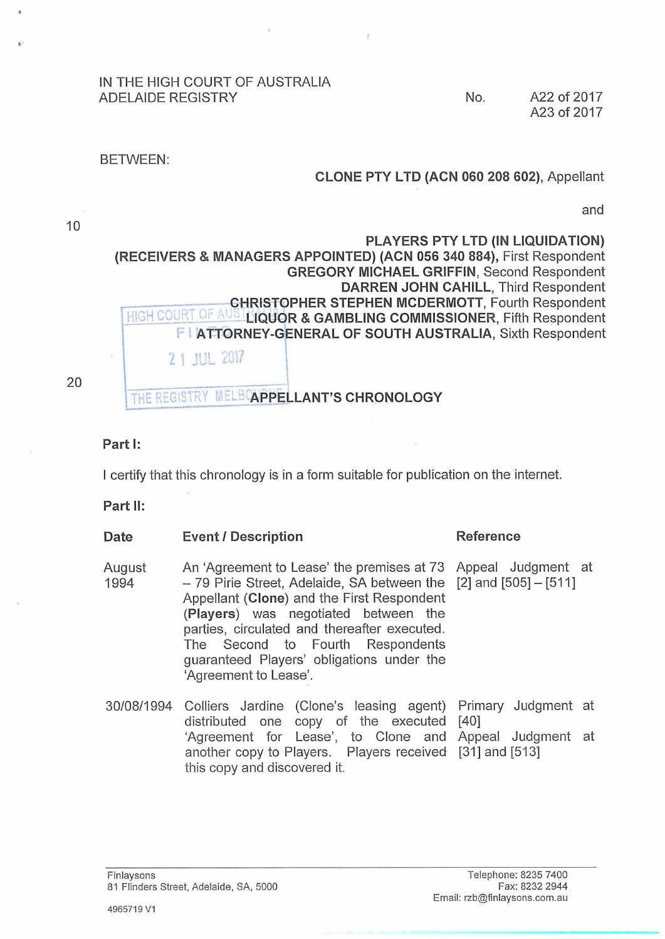#### IN THE HIGH COURT OF AUSTRALIA ADELAIDE REGISTRY **No.** A22 of 2017

A23 of 2017

### BETWEEN:

## **CLONE PTY L TD (ACN 060 208 602),** Appellant

and

10

# **PLAYERS PTY LTD (IN LIQUIDATION) (RECEIVERS & MANAGERS APPOINTED) (ACN 056 340 884),** First Respondent **GREGORY MICHAEL GRIFFIN,** Second Respondent **DARREN JOHN CAHILL,** Third Respondent **CHRISTOPHER STEPHEN MCDERMOTT, Fourth Respondent** HIGH COURT OF AUST**LIQUOR & GAMBLING COMMISSIONER**, Fifth Respondent F I **ATTORNEY-GENERAL OF SOUTH AUSTRALIA,** Sixth Respondent 11 J1.- *t.* 1

20

## THE REGISTRY MELBOAPPELLANT'S CHRONOLOGY

## **Part 1:**

I certify that this chronology is in a form suitable for publication on the internet.

**Part 11:** 

| Date           | <b>Event / Description</b>                                                                                                                                                                                                                                                                                                                                                            | Reference |
|----------------|---------------------------------------------------------------------------------------------------------------------------------------------------------------------------------------------------------------------------------------------------------------------------------------------------------------------------------------------------------------------------------------|-----------|
| August<br>1994 | An 'Agreement to Lease' the premises at 73 Appeal Judgment at<br>$-79$ Pirie Street, Adelaide, SA between the [2] and [505] $-$ [511]<br>Appellant (Clone) and the First Respondent<br>(Players) was negotiated between the<br>parties, circulated and thereafter executed.<br>The Second to Fourth Respondents<br>guaranteed Players' obligations under the<br>'Agreement to Lease'. |           |
|                | 30/08/1994 Colliers Jardine (Clone's leasing agent) Primary Judgment at<br>distributed one copy of the executed [40]<br>'Agreement for Lease', to Clone and Appeal Judgment at<br>another copy to Players. Players received [31] and [513]<br>this copy and discovered it.                                                                                                            |           |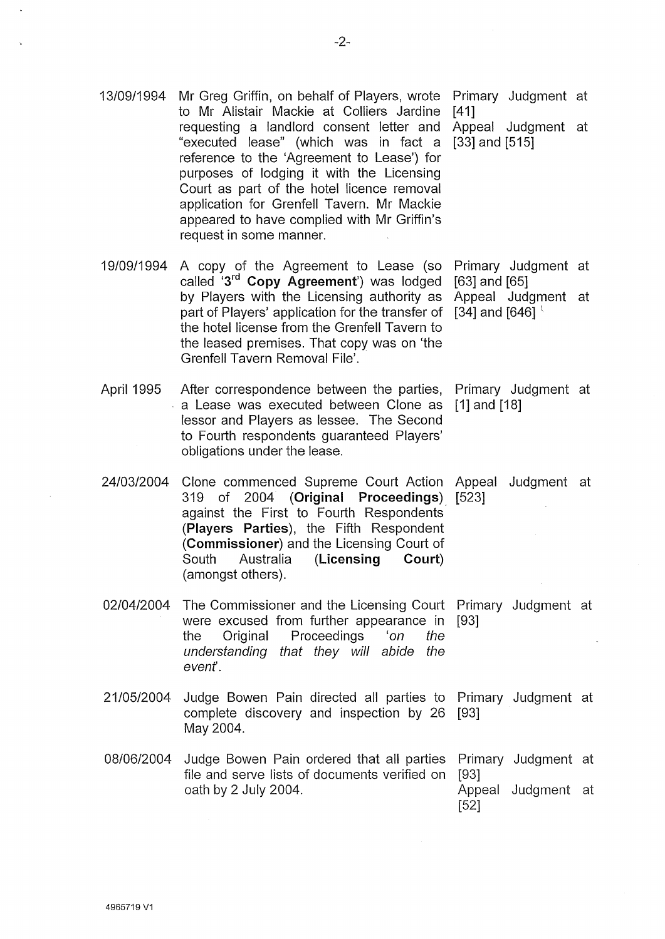- to Mr Alistair Mackie at Colliers Jardine [41] requesting a landlord consent letter and Appeal Judgment at "executed lease" (which was in fact a [33] and [515] reference to the 'Agreement to Lease') for purposes of lodging it with the Licensing Court as part of the hotel licence removal application for Grenfell Tavern. Mr Mackie appeared to have complied with Mr Griffin's request in some manner. 19/09/1994 A copy of the Agreement to Lease (so Primary Judgment at called '3rd **Copy Agreement')** was lodged [63] and [65] by Players with the Licensing authority as Appeal Judgment at part of Players' application for the transfer of  $\left[34\right]$  and  $\left[646\right]$ the hotel license from the Grenfell Tavern to the leased premises. That copy was on 'the Grenfell Tavern Removal File'.
- April 1995 After correspondence between the parties, Primary Judgment at a Lease was executed between Clone as [1] and [18] lessor and Players as lessee. The Second to Fourth respondents guaranteed Players' obligations under the lease.

24/03/2004 Clone commenced Supreme Court Action Appeal Judgment at 319 of 2004 **(Original Proceedings)** [523] against the First to Fourth Respondents **(Players Parties),** the Fifth Respondent **(Commissioner)** and the Licensing Court of South Australia **(Licensing Court)**  (amongst others).

02/04/2004 The Commissioner and the Licensing Court Primary Judgment at were excused from further appearance in [93] the Original Proceedings 'on the understanding that they will abide the evenf.

- 21/05/2004 Judge Bowen Pain directed all parties to Primary Judgment at complete discovery and inspection by 26 [93] May 2004.
- 08/06/2004 Judge Bowen Pain ordered that all parties Primary Judgment at file and serve lists of documents verified on [93] oath by 2 July 2004. Appeal Judgment at [52]

-2-

13/09/1994 Mr Greg Griffin, on behalf of Players, wrote Primary Judgment at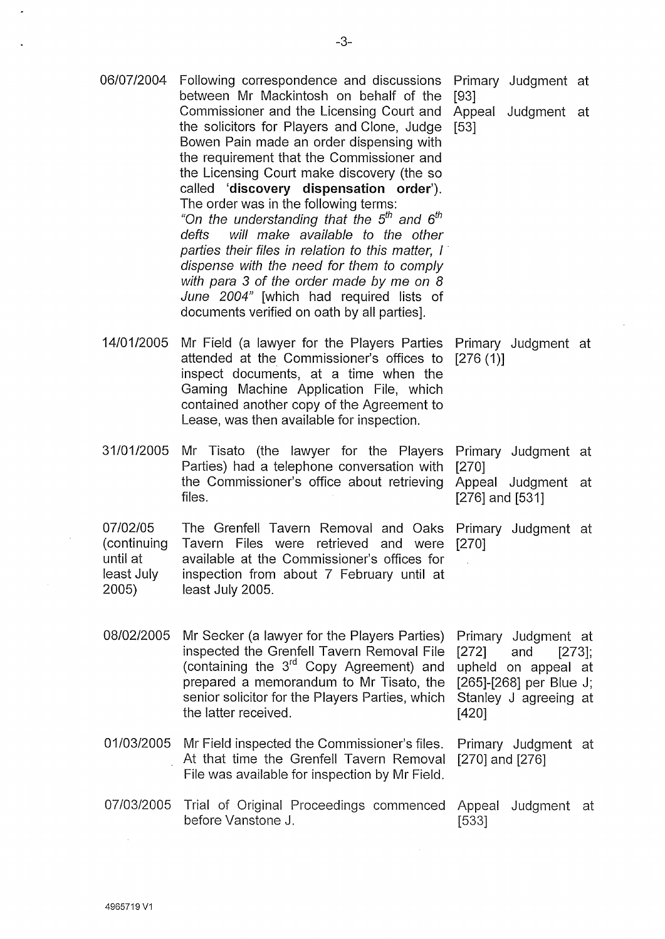06/07/2004 Following correspondence and discussions Primary Judgment at between Mr Mackintosh on behalf of the [93] 14/01/2005 31/01/2005 07/02/05 (continuing until at least July 2005) 08/02/2005 Commissioner and the Licensing Court and Appeal Judgment at the solicitors for Players and Clone, Judge [53] Bowen Pain made an order dispensing with the requirement that the Commissioner and the Licensing Court make discovery (the so called **'discovery dispensation order').**  The order was in the following terms: "On the understanding that the *5th* and *6th*  defts will make available to the other parties their files in relation to this matter. I dispense with the need for them to comply with para 3 of the order made by me on 8 June 2004" [which had required lists of documents verified on oath by all parties]. Mr Field (a lawyer for the Players Parties attended at the Commissioner's offices to [276 (1)] inspect documents, at a time when the Gaming Machine Application File, which contained another copy of the Agreement to Lease, was then available for inspection. Mr Tisato (the lawyer for the Players Parties) had a telephone conversation with the Commissioner's office about retrieving files. Primary Judgment at Primary Judgment at [270] Appeal Judgment at [276] and [531] The Grenfell Tavern Removal and Oaks Primary Judgment at Tavern Files were retrieved and were [270] available at the Commissioner's offices for inspection from about 7 February until at least July 2005. Mr Secker (a lawyer for the Players Parties) inspected the Grenfell Tavern Removal File (containing the 3rd Copy Agreement) and prepared a memorandum to Mr Tisato, the senior solicitor for the Players Parties, which the latter received. Primary Judgment at [272] and [273]; upheld on appeal at [265]-[268] per Blue J; Stanley J agreeing at [420] 01/03/2005 Mr Field inspected the Commissioner's files. Primary Judgment at At that time the Grenfell Tavern Removal [270] and [276] File was available for inspection by Mr Field. 07/03/2005 Trial of Original Proceedings commenced Appeal Judgment at before Vanstone J. [533]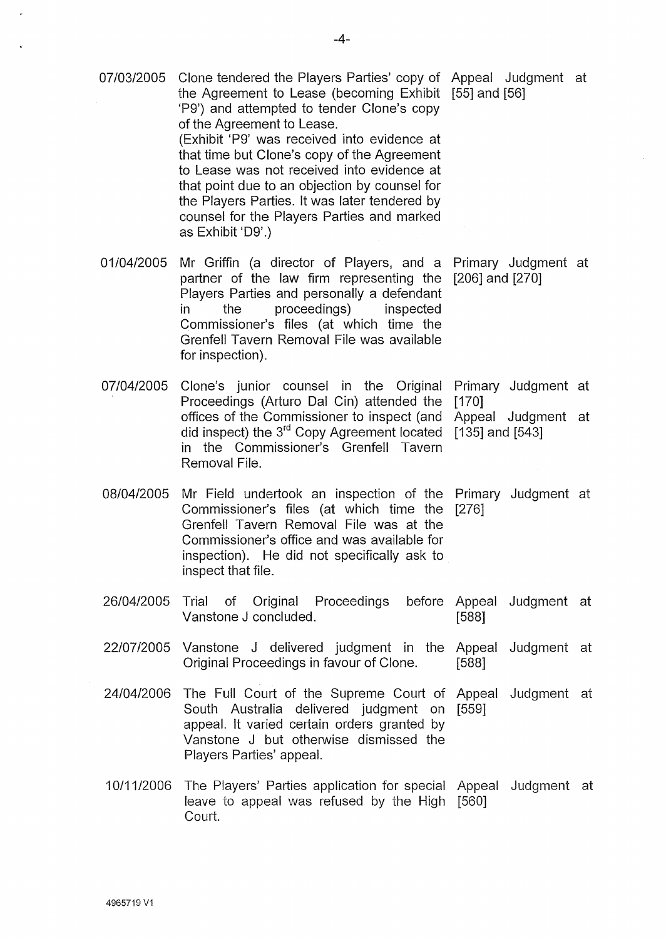|            | 'P9') and attempted to tender Clone's copy<br>of the Agreement to Lease.<br>(Exhibit 'P9' was received into evidence at<br>that time but Clone's copy of the Agreement<br>to Lease was not received into evidence at<br>that point due to an objection by counsel for<br>the Players Parties. It was later tendered by<br>counsel for the Players Parties and marked<br>as Exhibit 'D9'.) |                     |                     |  |
|------------|-------------------------------------------------------------------------------------------------------------------------------------------------------------------------------------------------------------------------------------------------------------------------------------------------------------------------------------------------------------------------------------------|---------------------|---------------------|--|
| 01/04/2005 | Mr Griffin (a director of Players, and a Primary Judgment at<br>partner of the law firm representing the<br>Players Parties and personally a defendant<br>proceedings) inspected<br>the<br>in<br>Commissioner's files (at which time the<br>Grenfell Tavern Removal File was available<br>for inspection).                                                                                | $[206]$ and $[270]$ |                     |  |
| 07/04/2005 | Clone's junior counsel in the Original<br>Proceedings (Arturo Dal Cin) attended the                                                                                                                                                                                                                                                                                                       | [170]               | Primary Judgment at |  |
|            | offices of the Commissioner to inspect (and<br>did inspect) the 3 <sup>rd</sup> Copy Agreement located<br>in the Commissioner's Grenfell Tavern<br>Removal File.                                                                                                                                                                                                                          | $[135]$ and $[543]$ | Appeal Judgment at  |  |
| 08/04/2005 | Mr Field undertook an inspection of the<br>Commissioner's files (at which time the<br>Grenfell Tavern Removal File was at the<br>Commissioner's office and was available for<br>inspection). He did not specifically ask to<br>inspect that file.                                                                                                                                         | [276]               | Primary Judgment at |  |
|            | 26/04/2005 Trial of Original Proceedings before Appeal Judgment at<br>Vanstone J concluded.                                                                                                                                                                                                                                                                                               | [588]               |                     |  |
|            | 22/07/2005 Vanstone J delivered judgment in the Appeal Judgment at<br>Original Proceedings in favour of Clone.                                                                                                                                                                                                                                                                            | [588]               |                     |  |
| 24/04/2006 | The Full Court of the Supreme Court of Appeal<br>South Australia delivered judgment on [559]<br>appeal. It varied certain orders granted by<br>Vanstone J but otherwise dismissed the<br>Players Parties' appeal.                                                                                                                                                                         |                     | Judgment at         |  |
| 10/11/2006 | The Players' Parties application for special Appeal<br>leave to appeal was refused by the High [560]<br>Court.                                                                                                                                                                                                                                                                            |                     | Judgment at         |  |

07/03/2005 Clone tendered the Players Parties' copy of Appeal Judgment at the Agreement to Lease (becoming Exhibit [55] and [56]

à.

 $\epsilon$ 

 $\ddot{\phantom{a}}$ 

 $\hat{\mathcal{A}}$